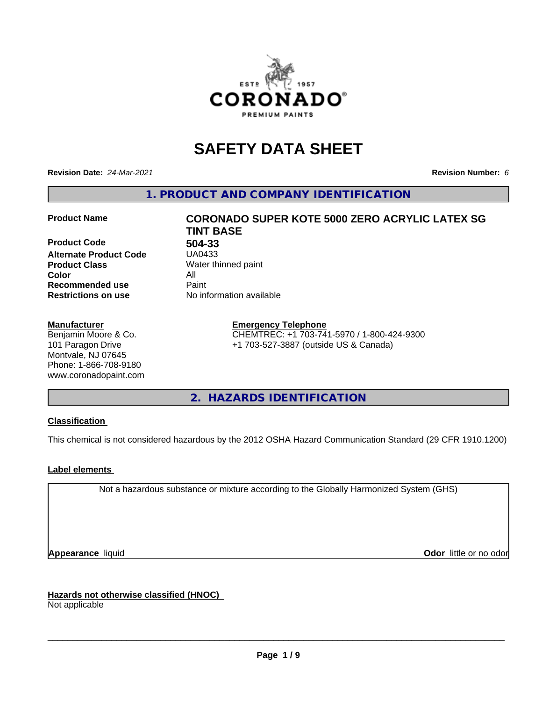

# **SAFETY DATA SHEET**

**Revision Date:** *24-Mar-2021* **Revision Number:** *6*

**1. PRODUCT AND COMPANY IDENTIFICATION**

**Product Code 504-33 Alternate Product Code Product Class** Water thinned paint<br> **Color** All **Color** All **Recommended use** Paint<br> **Restrictions on use** Mo information available **Restrictions on use** 

#### **Manufacturer**

Benjamin Moore & Co. 101 Paragon Drive Montvale, NJ 07645 Phone: 1-866-708-9180 www.coronadopaint.com

# **Product Name CORONADO SUPER KOTE 5000 ZERO ACRYLIC LATEX SG TINT BASE**

**Emergency Telephone** CHEMTREC: +1 703-741-5970 / 1-800-424-9300 +1 703-527-3887 (outside US & Canada)

**2. HAZARDS IDENTIFICATION**

### **Classification**

This chemical is not considered hazardous by the 2012 OSHA Hazard Communication Standard (29 CFR 1910.1200)

### **Label elements**

Not a hazardous substance or mixture according to the Globally Harmonized System (GHS)

**Appearance** liquid **Contract Contract Contract Contract Contract Contract Contract Contract Contract Contract Contract Contract Contract Contract Contract Contract Contract Contract Contract Contract Contract Contract Con** 

**Hazards not otherwise classified (HNOC)**

Not applicable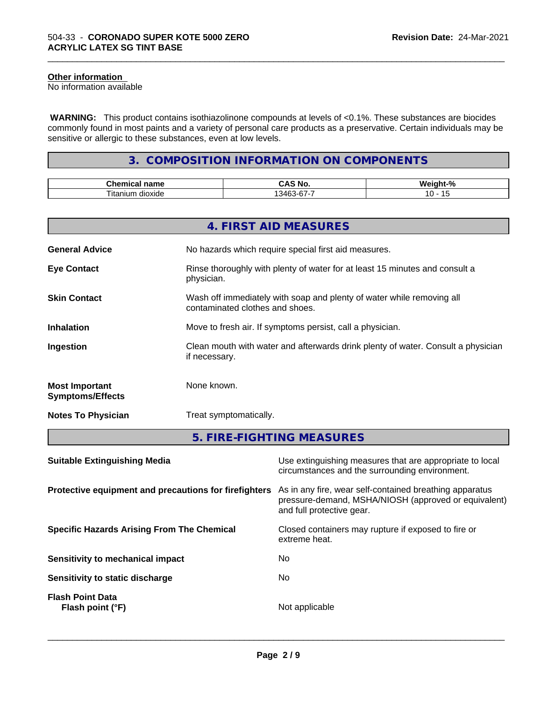# **Other information**

No information available

 **WARNING:** This product contains isothiazolinone compounds at levels of <0.1%. These substances are biocides commonly found in most paints and a variety of personal care products as a preservative. Certain individuals may be sensitive or allergic to these substances, even at low levels.

\_\_\_\_\_\_\_\_\_\_\_\_\_\_\_\_\_\_\_\_\_\_\_\_\_\_\_\_\_\_\_\_\_\_\_\_\_\_\_\_\_\_\_\_\_\_\_\_\_\_\_\_\_\_\_\_\_\_\_\_\_\_\_\_\_\_\_\_\_\_\_\_\_\_\_\_\_\_\_\_\_\_\_\_\_\_\_\_\_\_\_\_\_

# **3. COMPOSITION INFORMATION ON COMPONENTS**

| $\sim$<br>$ -$<br>…∩ame                               | ਂ Nc             | n   |
|-------------------------------------------------------|------------------|-----|
| $\sim$<br>--<br>$+nn$<br>um.<br>dioxide<br>١u<br>---- | $ -$<br>ובר<br>ີ | . . |

|                                                  | 4. FIRST AID MEASURES                                                                                    |
|--------------------------------------------------|----------------------------------------------------------------------------------------------------------|
| <b>General Advice</b>                            | No hazards which require special first aid measures.                                                     |
| <b>Eye Contact</b>                               | Rinse thoroughly with plenty of water for at least 15 minutes and consult a<br>physician.                |
| <b>Skin Contact</b>                              | Wash off immediately with soap and plenty of water while removing all<br>contaminated clothes and shoes. |
| <b>Inhalation</b>                                | Move to fresh air. If symptoms persist, call a physician.                                                |
| Ingestion                                        | Clean mouth with water and afterwards drink plenty of water. Consult a physician<br>if necessary.        |
| <b>Most Important</b><br><b>Symptoms/Effects</b> | None known.                                                                                              |
| <b>Notes To Physician</b>                        | Treat symptomatically.                                                                                   |
|                                                  | 5. FIRE-FIGHTING MEASURES                                                                                |

| <b>Suitable Extinguishing Media</b>                   | Use extinguishing measures that are appropriate to local<br>circumstances and the surrounding environment.                                   |
|-------------------------------------------------------|----------------------------------------------------------------------------------------------------------------------------------------------|
| Protective equipment and precautions for firefighters | As in any fire, wear self-contained breathing apparatus<br>pressure-demand, MSHA/NIOSH (approved or equivalent)<br>and full protective gear. |
| <b>Specific Hazards Arising From The Chemical</b>     | Closed containers may rupture if exposed to fire or<br>extreme heat.                                                                         |
| Sensitivity to mechanical impact                      | No.                                                                                                                                          |
| Sensitivity to static discharge                       | No.                                                                                                                                          |
| <b>Flash Point Data</b><br>Flash point (°F)           | Not applicable                                                                                                                               |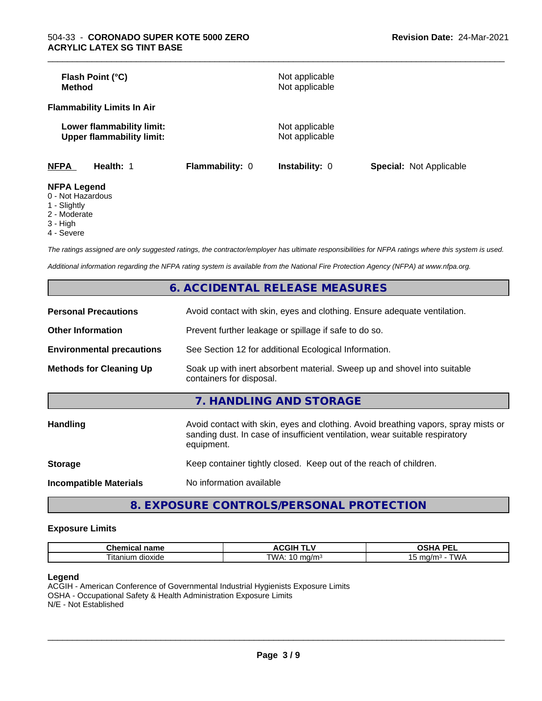| Flash Point (°C)<br>Method                                    |                 | Not applicable<br>Not applicable |                                |
|---------------------------------------------------------------|-----------------|----------------------------------|--------------------------------|
| <b>Flammability Limits In Air</b>                             |                 |                                  |                                |
| Lower flammability limit:<br><b>Upper flammability limit:</b> |                 | Not applicable<br>Not applicable |                                |
| <b>NFPA</b><br>Health: 1                                      | Flammability: 0 | Instability: 0                   | <b>Special: Not Applicable</b> |
| <b>NFPA Legend</b><br>$\bigcap$ blat line and are             |                 |                                  |                                |

\_\_\_\_\_\_\_\_\_\_\_\_\_\_\_\_\_\_\_\_\_\_\_\_\_\_\_\_\_\_\_\_\_\_\_\_\_\_\_\_\_\_\_\_\_\_\_\_\_\_\_\_\_\_\_\_\_\_\_\_\_\_\_\_\_\_\_\_\_\_\_\_\_\_\_\_\_\_\_\_\_\_\_\_\_\_\_\_\_\_\_\_\_

- 0 Not Hazardous
- 1 Slightly
- 2 Moderate
- 3 High
- 4 Severe

*The ratings assigned are only suggested ratings, the contractor/employer has ultimate responsibilities for NFPA ratings where this system is used.*

*Additional information regarding the NFPA rating system is available from the National Fire Protection Agency (NFPA) at www.nfpa.org.*

|                                  | 6. ACCIDENTAL RELEASE MEASURES                                                                                                                                                   |
|----------------------------------|----------------------------------------------------------------------------------------------------------------------------------------------------------------------------------|
| <b>Personal Precautions</b>      | Avoid contact with skin, eyes and clothing. Ensure adequate ventilation.                                                                                                         |
| <b>Other Information</b>         | Prevent further leakage or spillage if safe to do so.                                                                                                                            |
| <b>Environmental precautions</b> | See Section 12 for additional Ecological Information.                                                                                                                            |
| <b>Methods for Cleaning Up</b>   | Soak up with inert absorbent material. Sweep up and shovel into suitable<br>containers for disposal.                                                                             |
|                                  | 7. HANDLING AND STORAGE                                                                                                                                                          |
| <b>Handling</b>                  | Avoid contact with skin, eyes and clothing. Avoid breathing vapors, spray mists or<br>sanding dust. In case of insufficient ventilation, wear suitable respiratory<br>equipment. |
| <b>Storage</b>                   | Keep container tightly closed. Keep out of the reach of children.                                                                                                                |
| <b>Incompatible Materials</b>    | No information available                                                                                                                                                         |
|                                  |                                                                                                                                                                                  |

**8. EXPOSURE CONTROLS/PERSONAL PROTECTION**

#### **Exposure Limits**

| rhamia<br>$\sim$ 14.44 $\sigma$<br>⊶ne.<br>ernic<br>name | JGIH ⊺            | <b>DE</b><br>$\mathbf{r}$<br>-<br>-- |
|----------------------------------------------------------|-------------------|--------------------------------------|
| dioxide<br>, itanium                                     | TWA.<br>na/m<br>v | .<br>.<br>וטו<br>w                   |

#### **Legend**

ACGIH - American Conference of Governmental Industrial Hygienists Exposure Limits OSHA - Occupational Safety & Health Administration Exposure Limits N/E - Not Established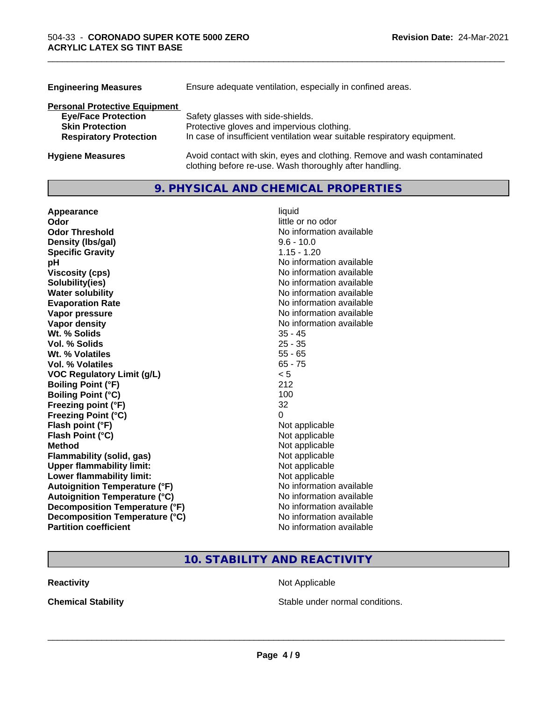| <b>Engineering Measures</b>          | Ensure adequate ventilation, especially in confined areas.                                                                          |
|--------------------------------------|-------------------------------------------------------------------------------------------------------------------------------------|
| <b>Personal Protective Equipment</b> |                                                                                                                                     |
| <b>Eye/Face Protection</b>           | Safety glasses with side-shields.                                                                                                   |
| <b>Skin Protection</b>               | Protective gloves and impervious clothing.                                                                                          |
| <b>Respiratory Protection</b>        | In case of insufficient ventilation wear suitable respiratory equipment.                                                            |
| <b>Hygiene Measures</b>              | Avoid contact with skin, eyes and clothing. Remove and wash contaminated<br>clothing before re-use. Wash thoroughly after handling. |

\_\_\_\_\_\_\_\_\_\_\_\_\_\_\_\_\_\_\_\_\_\_\_\_\_\_\_\_\_\_\_\_\_\_\_\_\_\_\_\_\_\_\_\_\_\_\_\_\_\_\_\_\_\_\_\_\_\_\_\_\_\_\_\_\_\_\_\_\_\_\_\_\_\_\_\_\_\_\_\_\_\_\_\_\_\_\_\_\_\_\_\_\_

# **9. PHYSICAL AND CHEMICAL PROPERTIES**

| Appearance                           | liquid                   |
|--------------------------------------|--------------------------|
| Odor                                 | little or no odor        |
| <b>Odor Threshold</b>                | No information available |
| Density (Ibs/gal)                    | $9.6 - 10.0$             |
| <b>Specific Gravity</b>              | $1.15 - 1.20$            |
| рH                                   | No information available |
| <b>Viscosity (cps)</b>               | No information available |
| Solubility(ies)                      | No information available |
| <b>Water solubility</b>              | No information available |
| <b>Evaporation Rate</b>              | No information available |
| Vapor pressure                       | No information available |
| Vapor density                        | No information available |
| Wt. % Solids                         | $35 - 45$                |
| Vol. % Solids                        | $25 - 35$                |
| Wt. % Volatiles                      | $55 - 65$                |
| <b>Vol. % Volatiles</b>              | $65 - 75$                |
| <b>VOC Regulatory Limit (g/L)</b>    | < 5                      |
| <b>Boiling Point (°F)</b>            | 212                      |
| <b>Boiling Point (°C)</b>            | 100                      |
| Freezing point (°F)                  | 32                       |
| <b>Freezing Point (°C)</b>           | 0                        |
| Flash point (°F)                     | Not applicable           |
| Flash Point (°C)                     | Not applicable           |
| <b>Method</b>                        | Not applicable           |
| Flammability (solid, gas)            | Not applicable           |
| <b>Upper flammability limit:</b>     | Not applicable           |
| Lower flammability limit:            | Not applicable           |
| <b>Autoignition Temperature (°F)</b> | No information available |
| <b>Autoignition Temperature (°C)</b> | No information available |
| Decomposition Temperature (°F)       | No information available |
| Decomposition Temperature (°C)       | No information available |
| <b>Partition coefficient</b>         | No information available |

# **10. STABILITY AND REACTIVITY**

**Reactivity Not Applicable** Not Applicable

**Chemical Stability Chemical Stability** Stable under normal conditions.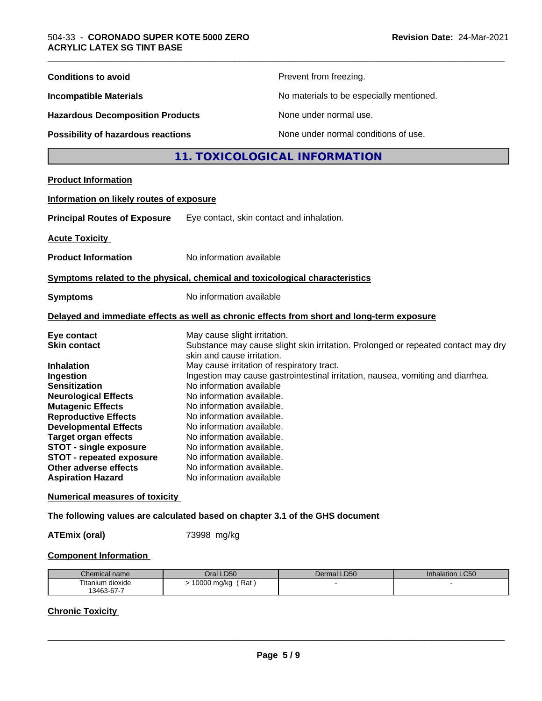| <b>Conditions to avoid</b>               | Prevent from freezing.                                                                                      |
|------------------------------------------|-------------------------------------------------------------------------------------------------------------|
| <b>Incompatible Materials</b>            | No materials to be especially mentioned.                                                                    |
| <b>Hazardous Decomposition Products</b>  | None under normal use.                                                                                      |
| Possibility of hazardous reactions       | None under normal conditions of use.                                                                        |
|                                          | 11. TOXICOLOGICAL INFORMATION                                                                               |
| <b>Product Information</b>               |                                                                                                             |
| Information on likely routes of exposure |                                                                                                             |
|                                          |                                                                                                             |
| <b>Principal Routes of Exposure</b>      | Eye contact, skin contact and inhalation.                                                                   |
| <b>Acute Toxicity</b>                    |                                                                                                             |
| <b>Product Information</b>               | No information available                                                                                    |
|                                          | Symptoms related to the physical, chemical and toxicological characteristics                                |
| <b>Symptoms</b>                          | No information available                                                                                    |
|                                          | Delayed and immediate effects as well as chronic effects from short and long-term exposure                  |
| Eye contact                              | May cause slight irritation.                                                                                |
| <b>Skin contact</b>                      | Substance may cause slight skin irritation. Prolonged or repeated contact may dry                           |
|                                          | skin and cause irritation.                                                                                  |
| <b>Inhalation</b>                        | May cause irritation of respiratory tract.                                                                  |
| Ingestion<br><b>Sensitization</b>        | Ingestion may cause gastrointestinal irritation, nausea, vomiting and diarrhea.<br>No information available |
| <b>Neurological Effects</b>              | No information available.                                                                                   |
| <b>Mutagenic Effects</b>                 | No information available.                                                                                   |
| <b>Reproductive Effects</b>              | No information available.                                                                                   |
| <b>Developmental Effects</b>             | No information available.                                                                                   |
| <b>Target organ effects</b>              | No information available.                                                                                   |
| <b>STOT - single exposure</b>            | No information available.                                                                                   |
| <b>STOT - repeated exposure</b>          | No information available.                                                                                   |
| Other adverse effects                    | No information available.                                                                                   |
| <b>Aspiration Hazard</b>                 | No information available                                                                                    |
| <b>Numerical measures of toxicity</b>    |                                                                                                             |
|                                          | The following values are calculated based on chapter 3.1 of the GHS document                                |
| <b>ATEmix (oral)</b>                     | 73998 mg/kg                                                                                                 |

### **Component Information**

| Chemical name                       | <b>D50</b><br>)ral   | LD50<br>Dermal | LC50<br>Inhalation |
|-------------------------------------|----------------------|----------------|--------------------|
| $- \cdot$ .<br>ı dıoxıde<br>itanium | Rat<br>0000<br>mg/kg |                |                    |
| 13463-67-7                          |                      |                |                    |

# **Chronic Toxicity**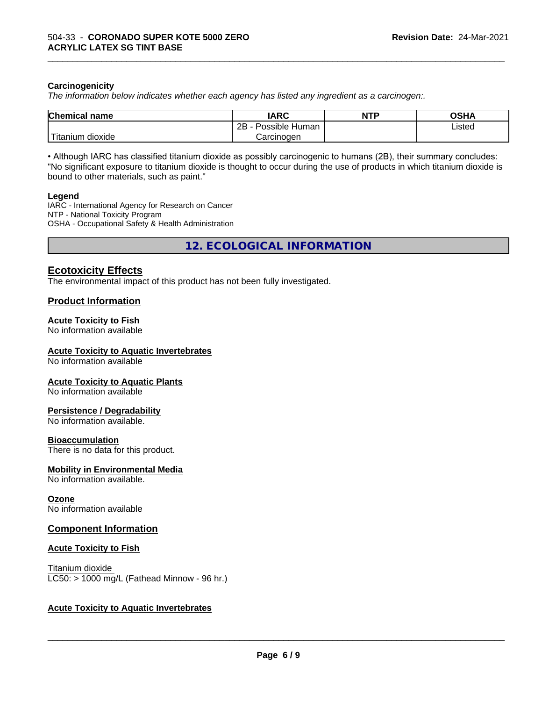#### **Carcinogenicity**

*The information below indicateswhether each agency has listed any ingredient as a carcinogen:.*

| <b>Chemical name</b>                       | <b>IARC</b>                     | <b>NTP</b> | <b>OSHA</b> |
|--------------------------------------------|---------------------------------|------------|-------------|
|                                            | .<br>2R<br>Possible Human<br>40 |            | Listed<br>. |
| . . <del>. .</del><br>dioxide<br>l itanıum | Carcinogen                      |            |             |

\_\_\_\_\_\_\_\_\_\_\_\_\_\_\_\_\_\_\_\_\_\_\_\_\_\_\_\_\_\_\_\_\_\_\_\_\_\_\_\_\_\_\_\_\_\_\_\_\_\_\_\_\_\_\_\_\_\_\_\_\_\_\_\_\_\_\_\_\_\_\_\_\_\_\_\_\_\_\_\_\_\_\_\_\_\_\_\_\_\_\_\_\_

• Although IARC has classified titanium dioxide as possibly carcinogenic to humans (2B), their summary concludes: "No significant exposure to titanium dioxide is thought to occur during the use of products in which titanium dioxide is bound to other materials, such as paint."

#### **Legend**

IARC - International Agency for Research on Cancer NTP - National Toxicity Program OSHA - Occupational Safety & Health Administration

**12. ECOLOGICAL INFORMATION**

# **Ecotoxicity Effects**

The environmental impact of this product has not been fully investigated.

### **Product Information**

# **Acute Toxicity to Fish**

No information available

#### **Acute Toxicity to Aquatic Invertebrates**

No information available

#### **Acute Toxicity to Aquatic Plants**

No information available

#### **Persistence / Degradability**

No information available.

#### **Bioaccumulation**

There is no data for this product.

#### **Mobility in Environmental Media**

No information available.

#### **Ozone**

No information available

#### **Component Information**

#### **Acute Toxicity to Fish**

Titanium dioxide  $LC50:$  > 1000 mg/L (Fathead Minnow - 96 hr.)

### **Acute Toxicity to Aquatic Invertebrates**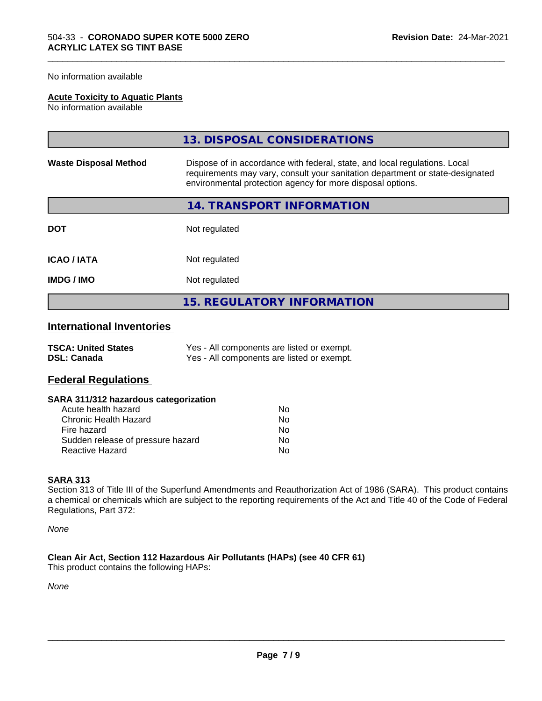No information available

#### **Acute Toxicity to Aquatic Plants**

No information available

|                              | 13. DISPOSAL CONSIDERATIONS                                                                                                                                                                                               |
|------------------------------|---------------------------------------------------------------------------------------------------------------------------------------------------------------------------------------------------------------------------|
| <b>Waste Disposal Method</b> | Dispose of in accordance with federal, state, and local regulations. Local<br>requirements may vary, consult your sanitation department or state-designated<br>environmental protection agency for more disposal options. |
|                              | 14. TRANSPORT INFORMATION                                                                                                                                                                                                 |
| <b>DOT</b>                   | Not regulated                                                                                                                                                                                                             |
| <b>ICAO/IATA</b>             | Not regulated                                                                                                                                                                                                             |
| <b>IMDG/IMO</b>              | Not regulated                                                                                                                                                                                                             |
|                              | <b>15. REGULATORY INFORMATION</b>                                                                                                                                                                                         |

\_\_\_\_\_\_\_\_\_\_\_\_\_\_\_\_\_\_\_\_\_\_\_\_\_\_\_\_\_\_\_\_\_\_\_\_\_\_\_\_\_\_\_\_\_\_\_\_\_\_\_\_\_\_\_\_\_\_\_\_\_\_\_\_\_\_\_\_\_\_\_\_\_\_\_\_\_\_\_\_\_\_\_\_\_\_\_\_\_\_\_\_\_

# **International Inventories**

| <b>TSCA: United States</b> | Yes - All components are listed or exempt. |
|----------------------------|--------------------------------------------|
| <b>DSL: Canada</b>         | Yes - All components are listed or exempt. |

# **Federal Regulations**

| SARA 311/312 hazardous categorization |  |
|---------------------------------------|--|
|---------------------------------------|--|

| Acute health hazard               | N٥ |
|-----------------------------------|----|
| Chronic Health Hazard             | N٥ |
| Fire hazard                       | N٥ |
| Sudden release of pressure hazard | N٥ |
| Reactive Hazard                   | N٥ |

#### **SARA 313**

Section 313 of Title III of the Superfund Amendments and Reauthorization Act of 1986 (SARA). This product contains a chemical or chemicals which are subject to the reporting requirements of the Act and Title 40 of the Code of Federal Regulations, Part 372:

*None*

**Clean Air Act,Section 112 Hazardous Air Pollutants (HAPs) (see 40 CFR 61)** This product contains the following HAPs:

*None*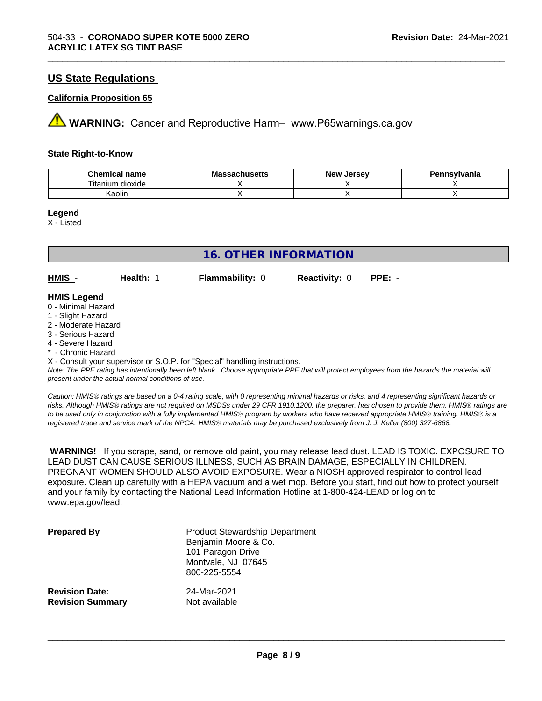# **US State Regulations**

#### **California Proposition 65**

**AVIMARNING:** Cancer and Reproductive Harm– www.P65warnings.ca.gov

#### **State Right-to-Know**

| <b>Chemical name</b>     | <b>Massachusetts</b> | . Jersev<br>״יים הי<br>' A C AA | Pennsylvania |
|--------------------------|----------------------|---------------------------------|--------------|
| --<br>itanium<br>dioxide |                      |                                 |              |
| Kaolin                   |                      |                                 |              |

\_\_\_\_\_\_\_\_\_\_\_\_\_\_\_\_\_\_\_\_\_\_\_\_\_\_\_\_\_\_\_\_\_\_\_\_\_\_\_\_\_\_\_\_\_\_\_\_\_\_\_\_\_\_\_\_\_\_\_\_\_\_\_\_\_\_\_\_\_\_\_\_\_\_\_\_\_\_\_\_\_\_\_\_\_\_\_\_\_\_\_\_\_

**Legend**

X - Listed

| 16. OTHER INFORMATION                                         |           |                        |                      |          |  |
|---------------------------------------------------------------|-----------|------------------------|----------------------|----------|--|
| $HMIS -$                                                      | Health: 1 | <b>Flammability: 0</b> | <b>Reactivity: 0</b> | $PPE: -$ |  |
| <b>HMIS Legend</b><br>0 - Minimal Hazard<br>1 - Slight Hazard |           |                        |                      |          |  |

- 2 Moderate Hazard
- 3 Serious Hazard
- 4 Severe Hazard
- \* Chronic Hazard

X - Consult your supervisor or S.O.P. for "Special" handling instructions.

*Note: The PPE rating has intentionally been left blank. Choose appropriate PPE that will protect employees from the hazards the material will present under the actual normal conditions of use.*

*Caution: HMISÒ ratings are based on a 0-4 rating scale, with 0 representing minimal hazards or risks, and 4 representing significant hazards or risks. Although HMISÒ ratings are not required on MSDSs under 29 CFR 1910.1200, the preparer, has chosen to provide them. HMISÒ ratings are to be used only in conjunction with a fully implemented HMISÒ program by workers who have received appropriate HMISÒ training. HMISÒ is a registered trade and service mark of the NPCA. HMISÒ materials may be purchased exclusively from J. J. Keller (800) 327-6868.*

 **WARNING!** If you scrape, sand, or remove old paint, you may release lead dust. LEAD IS TOXIC. EXPOSURE TO LEAD DUST CAN CAUSE SERIOUS ILLNESS, SUCH AS BRAIN DAMAGE, ESPECIALLY IN CHILDREN. PREGNANT WOMEN SHOULD ALSO AVOID EXPOSURE.Wear a NIOSH approved respirator to control lead exposure. Clean up carefully with a HEPA vacuum and a wet mop. Before you start, find out how to protect yourself and your family by contacting the National Lead Information Hotline at 1-800-424-LEAD or log on to www.epa.gov/lead.

| <b>Prepared By</b>      | <b>Product Stewardship Department</b><br>Benjamin Moore & Co.<br>101 Paragon Drive<br>Montvale, NJ 07645<br>800-225-5554 |
|-------------------------|--------------------------------------------------------------------------------------------------------------------------|
| <b>Revision Date:</b>   | 24-Mar-2021                                                                                                              |
| <b>Revision Summary</b> | Not available                                                                                                            |